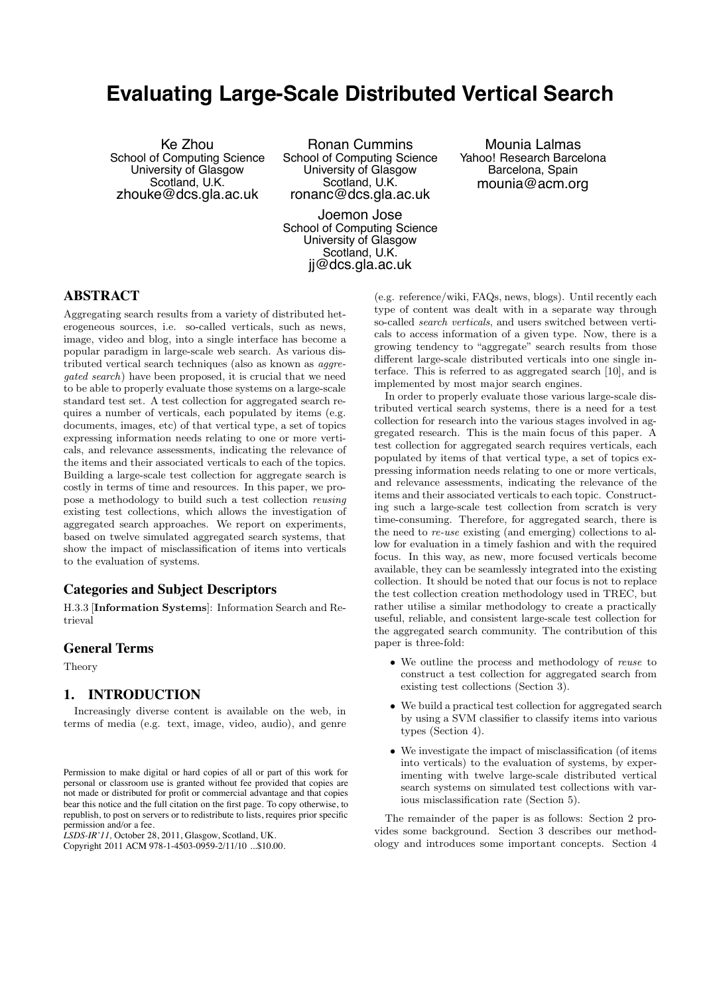# **Evaluating Large-Scale Distributed Vertical Search**

Ke Zhou School of Computing Science University of Glasgow Scotland, U.K. zhouke@dcs.gla.ac.uk

Ronan Cummins School of Computing Science University of Glasgow Scotland, U.K. ronanc@dcs.gla.ac.uk

Joemon Jose School of Computing Science University of Glasgow Scotland, U.K. jj@dcs.gla.ac.uk

Mounia Lalmas Yahoo! Research Barcelona Barcelona, Spain mounia@acm.org

# **ABSTRACT**

Aggregating search results from a variety of distributed heterogeneous sources, i.e. so-called verticals, such as news, image, video and blog, into a single interface has become a popular paradigm in large-scale web search. As various distributed vertical search techniques (also as known as aggregated search) have been proposed, it is crucial that we need to be able to properly evaluate those systems on a large-scale standard test set. A test collection for aggregated search requires a number of verticals, each populated by items (e.g. documents, images, etc) of that vertical type, a set of topics expressing information needs relating to one or more verticals, and relevance assessments, indicating the relevance of the items and their associated verticals to each of the topics. Building a large-scale test collection for aggregate search is costly in terms of time and resources. In this paper, we propose a methodology to build such a test collection reusing existing test collections, which allows the investigation of aggregated search approaches. We report on experiments, based on twelve simulated aggregated search systems, that show the impact of misclassification of items into verticals to the evaluation of systems.

# **Categories and Subject Descriptors**

H.3.3 [Information Systems]: Information Search and Retrieval

# **General Terms**

Theory

# **1. INTRODUCTION**

Increasingly diverse content is available on the web, in terms of media (e.g. text, image, video, audio), and genre

*LSDS-IR'11,* October 28, 2011, Glasgow, Scotland, UK.

(e.g. reference/wiki, FAQs, news, blogs). Until recently each type of content was dealt with in a separate way through so-called search verticals, and users switched between verticals to access information of a given type. Now, there is a growing tendency to "aggregate" search results from those different large-scale distributed verticals into one single interface. This is referred to as aggregated search [10], and is implemented by most major search engines.

In order to properly evaluate those various large-scale distributed vertical search systems, there is a need for a test collection for research into the various stages involved in aggregated research. This is the main focus of this paper. A test collection for aggregated search requires verticals, each populated by items of that vertical type, a set of topics expressing information needs relating to one or more verticals, and relevance assessments, indicating the relevance of the items and their associated verticals to each topic. Constructing such a large-scale test collection from scratch is very time-consuming. Therefore, for aggregated search, there is the need to re-use existing (and emerging) collections to allow for evaluation in a timely fashion and with the required focus. In this way, as new, more focused verticals become available, they can be seamlessly integrated into the existing collection. It should be noted that our focus is not to replace the test collection creation methodology used in TREC, but rather utilise a similar methodology to create a practically useful, reliable, and consistent large-scale test collection for the aggregated search community. The contribution of this paper is three-fold:

- We outline the process and methodology of reuse to construct a test collection for aggregated search from existing test collections (Section 3).
- We build a practical test collection for aggregated search by using a SVM classifier to classify items into various types (Section 4).
- We investigate the impact of misclassification (of items into verticals) to the evaluation of systems, by experimenting with twelve large-scale distributed vertical search systems on simulated test collections with various misclassification rate (Section 5).

The remainder of the paper is as follows: Section 2 provides some background. Section 3 describes our methodology and introduces some important concepts. Section 4

Permission to make digital or hard copies of all or part of this work for personal or classroom use is granted without fee provided that copies are not made or distributed for profit or commercial advantage and that copies bear this notice and the full citation on the first page. To copy otherwise, to republish, to post on servers or to redistribute to lists, requires prior specific permission and/or a fee.

Copyright 2011 ACM 978-1-4503-0959-2/11/10 ...\$10.00.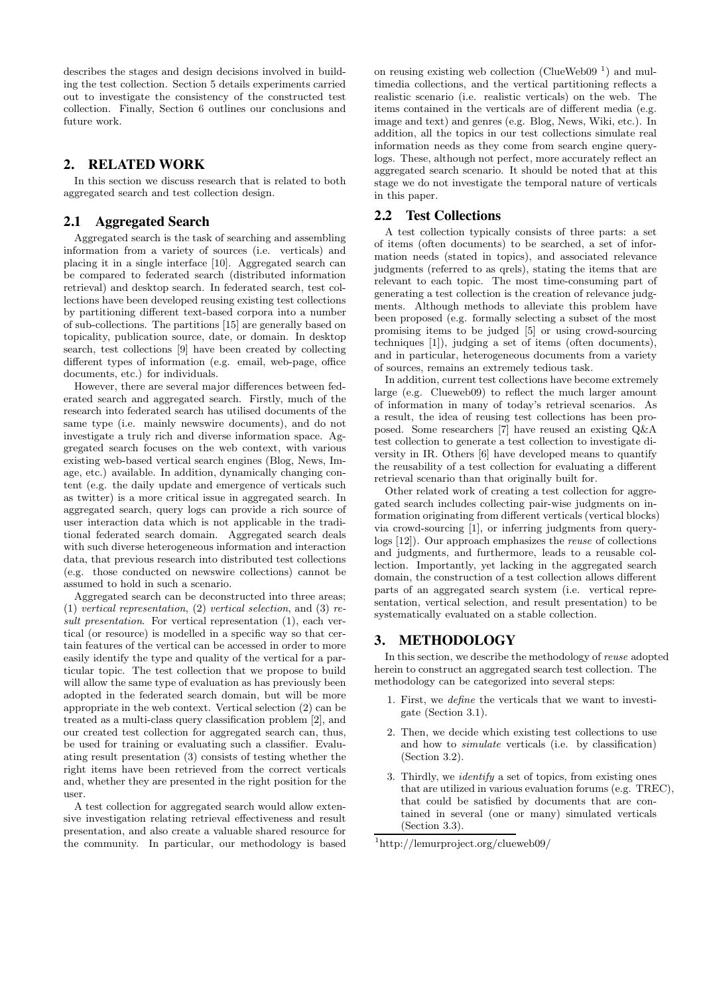describes the stages and design decisions involved in building the test collection. Section 5 details experiments carried out to investigate the consistency of the constructed test collection. Finally, Section 6 outlines our conclusions and future work.

# **2. RELATED WORK**

In this section we discuss research that is related to both aggregated search and test collection design.

# **2.1 Aggregated Search**

Aggregated search is the task of searching and assembling information from a variety of sources (i.e. verticals) and placing it in a single interface [10]. Aggregated search can be compared to federated search (distributed information retrieval) and desktop search. In federated search, test collections have been developed reusing existing test collections by partitioning different text-based corpora into a number of sub-collections. The partitions [15] are generally based on topicality, publication source, date, or domain. In desktop search, test collections [9] have been created by collecting different types of information (e.g. email, web-page, office documents, etc.) for individuals.

However, there are several major differences between federated search and aggregated search. Firstly, much of the research into federated search has utilised documents of the same type (i.e. mainly newswire documents), and do not investigate a truly rich and diverse information space. Aggregated search focuses on the web context, with various existing web-based vertical search engines (Blog, News, Image, etc.) available. In addition, dynamically changing content (e.g. the daily update and emergence of verticals such as twitter) is a more critical issue in aggregated search. In aggregated search, query logs can provide a rich source of user interaction data which is not applicable in the traditional federated search domain. Aggregated search deals with such diverse heterogeneous information and interaction data, that previous research into distributed test collections (e.g. those conducted on newswire collections) cannot be assumed to hold in such a scenario.

Aggregated search can be deconstructed into three areas; (1) vertical representation, (2) vertical selection, and (3) result presentation. For vertical representation  $(1)$ , each vertical (or resource) is modelled in a specific way so that certain features of the vertical can be accessed in order to more easily identify the type and quality of the vertical for a particular topic. The test collection that we propose to build will allow the same type of evaluation as has previously been adopted in the federated search domain, but will be more appropriate in the web context. Vertical selection (2) can be treated as a multi-class query classification problem [2], and our created test collection for aggregated search can, thus, be used for training or evaluating such a classifier. Evaluating result presentation (3) consists of testing whether the right items have been retrieved from the correct verticals and, whether they are presented in the right position for the user.

A test collection for aggregated search would allow extensive investigation relating retrieval effectiveness and result presentation, and also create a valuable shared resource for the community. In particular, our methodology is based

on reusing existing web collection (ClueWeb09 $<sup>1</sup>$ ) and mul-</sup> timedia collections, and the vertical partitioning reflects a realistic scenario (i.e. realistic verticals) on the web. The items contained in the verticals are of different media (e.g. image and text) and genres (e.g. Blog, News, Wiki, etc.). In addition, all the topics in our test collections simulate real information needs as they come from search engine querylogs. These, although not perfect, more accurately reflect an aggregated search scenario. It should be noted that at this stage we do not investigate the temporal nature of verticals in this paper.

# **2.2 Test Collections**

A test collection typically consists of three parts: a set of items (often documents) to be searched, a set of information needs (stated in topics), and associated relevance judgments (referred to as qrels), stating the items that are relevant to each topic. The most time-consuming part of generating a test collection is the creation of relevance judgments. Although methods to alleviate this problem have been proposed (e.g. formally selecting a subset of the most promising items to be judged [5] or using crowd-sourcing techniques [1]), judging a set of items (often documents), and in particular, heterogeneous documents from a variety of sources, remains an extremely tedious task.

In addition, current test collections have become extremely large (e.g. Clueweb09) to reflect the much larger amount of information in many of today's retrieval scenarios. As a result, the idea of reusing test collections has been proposed. Some researchers [7] have reused an existing Q&A test collection to generate a test collection to investigate diversity in IR. Others [6] have developed means to quantify the reusability of a test collection for evaluating a different retrieval scenario than that originally built for.

Other related work of creating a test collection for aggregated search includes collecting pair-wise judgments on information originating from different verticals (vertical blocks) via crowd-sourcing [1], or inferring judgments from querylogs [12]). Our approach emphasizes the reuse of collections and judgments, and furthermore, leads to a reusable collection. Importantly, yet lacking in the aggregated search domain, the construction of a test collection allows different parts of an aggregated search system (i.e. vertical representation, vertical selection, and result presentation) to be systematically evaluated on a stable collection.

# **3. METHODOLOGY**

In this section, we describe the methodology of reuse adopted herein to construct an aggregated search test collection. The methodology can be categorized into several steps:

- 1. First, we define the verticals that we want to investigate (Section 3.1).
- 2. Then, we decide which existing test collections to use and how to simulate verticals (i.e. by classification) (Section 3.2).
- 3. Thirdly, we identify a set of topics, from existing ones that are utilized in various evaluation forums (e.g. TREC), that could be satisfied by documents that are contained in several (one or many) simulated verticals (Section 3.3).

<sup>1</sup>http://lemurproject.org/clueweb09/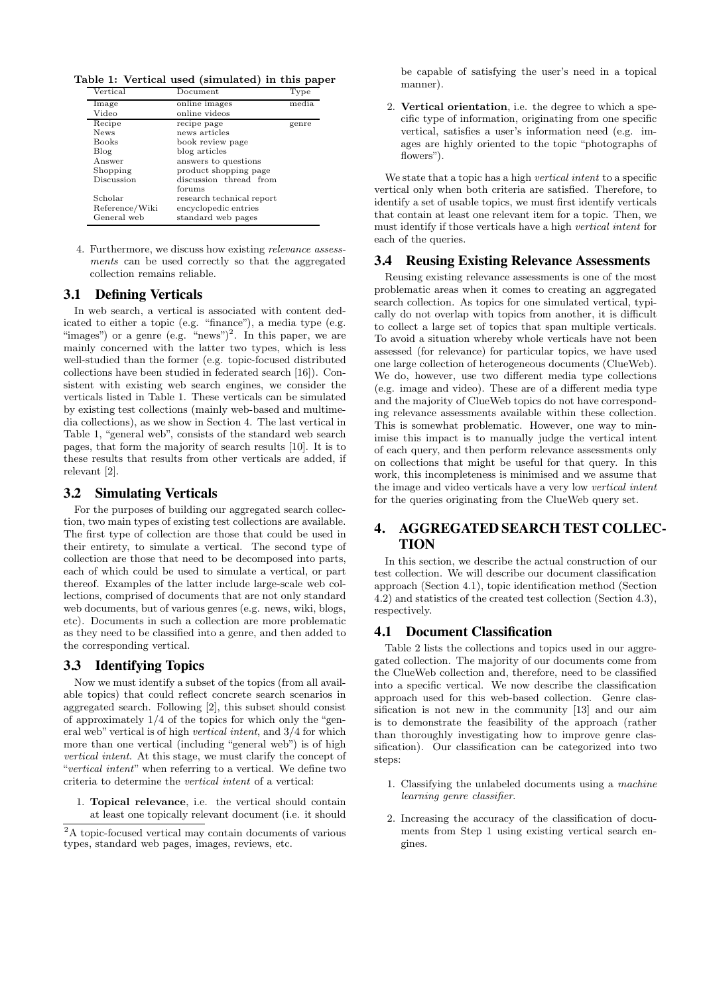Table 1: Vertical used (simulated) in this paper

| Vertical       | Document                  | Type  |
|----------------|---------------------------|-------|
| Image          | online images             | media |
| Video          | online videos             |       |
| Recipe         | recipe page               | genre |
| <b>News</b>    | news articles             |       |
| <b>Books</b>   | book review page          |       |
| Blog           | blog articles             |       |
| Answer         | answers to questions      |       |
| Shopping       | product shopping page     |       |
| Discussion     | discussion thread from    |       |
|                | forums                    |       |
| Scholar        | research technical report |       |
| Reference/Wiki | encyclopedic entries      |       |
| General web    | standard web pages        |       |

4. Furthermore, we discuss how existing relevance assessments can be used correctly so that the aggregated collection remains reliable.

# **3.1 Defining Verticals**

In web search, a vertical is associated with content dedicated to either a topic (e.g. "finance"), a media type (e.g. "images") or a genre  $(e.g.$  "news")<sup>2</sup>. In this paper, we are mainly concerned with the latter two types, which is less well-studied than the former (e.g. topic-focused distributed collections have been studied in federated search [16]). Consistent with existing web search engines, we consider the verticals listed in Table 1. These verticals can be simulated by existing test collections (mainly web-based and multimedia collections), as we show in Section 4. The last vertical in Table 1, "general web", consists of the standard web search pages, that form the majority of search results [10]. It is to these results that results from other verticals are added, if relevant [2].

### **3.2 Simulating Verticals**

For the purposes of building our aggregated search collection, two main types of existing test collections are available. The first type of collection are those that could be used in their entirety, to simulate a vertical. The second type of collection are those that need to be decomposed into parts, each of which could be used to simulate a vertical, or part thereof. Examples of the latter include large-scale web collections, comprised of documents that are not only standard web documents, but of various genres (e.g. news, wiki, blogs, etc). Documents in such a collection are more problematic as they need to be classified into a genre, and then added to the corresponding vertical.

# **3.3 Identifying Topics**

Now we must identify a subset of the topics (from all available topics) that could reflect concrete search scenarios in aggregated search. Following [2], this subset should consist of approximately 1/4 of the topics for which only the "general web" vertical is of high vertical intent, and 3/4 for which more than one vertical (including "general web") is of high vertical intent. At this stage, we must clarify the concept of "vertical intent" when referring to a vertical. We define two criteria to determine the vertical intent of a vertical:

1. Topical relevance, i.e. the vertical should contain at least one topically relevant document (i.e. it should be capable of satisfying the user's need in a topical manner).

2. Vertical orientation, i.e. the degree to which a specific type of information, originating from one specific vertical, satisfies a user's information need (e.g. images are highly oriented to the topic "photographs of flowers").

We state that a topic has a high *vertical intent* to a specific vertical only when both criteria are satisfied. Therefore, to identify a set of usable topics, we must first identify verticals that contain at least one relevant item for a topic. Then, we must identify if those verticals have a high vertical intent for each of the queries.

### **3.4 Reusing Existing Relevance Assessments**

Reusing existing relevance assessments is one of the most problematic areas when it comes to creating an aggregated search collection. As topics for one simulated vertical, typically do not overlap with topics from another, it is difficult to collect a large set of topics that span multiple verticals. To avoid a situation whereby whole verticals have not been assessed (for relevance) for particular topics, we have used one large collection of heterogeneous documents (ClueWeb). We do, however, use two different media type collections (e.g. image and video). These are of a different media type and the majority of ClueWeb topics do not have corresponding relevance assessments available within these collection. This is somewhat problematic. However, one way to minimise this impact is to manually judge the vertical intent of each query, and then perform relevance assessments only on collections that might be useful for that query. In this work, this incompleteness is minimised and we assume that the image and video verticals have a very low vertical intent for the queries originating from the ClueWeb query set.

# **4. AGGREGATED SEARCH TEST COLLEC-TION**

In this section, we describe the actual construction of our test collection. We will describe our document classification approach (Section 4.1), topic identification method (Section 4.2) and statistics of the created test collection (Section 4.3), respectively.

# **4.1 Document Classification**

Table 2 lists the collections and topics used in our aggregated collection. The majority of our documents come from the ClueWeb collection and, therefore, need to be classified into a specific vertical. We now describe the classification approach used for this web-based collection. Genre classification is not new in the community [13] and our aim is to demonstrate the feasibility of the approach (rather than thoroughly investigating how to improve genre classification). Our classification can be categorized into two steps<sup>.</sup>

- 1. Classifying the unlabeled documents using a machine learning genre classifier.
- 2. Increasing the accuracy of the classification of documents from Step 1 using existing vertical search engines.

<sup>2</sup>A topic-focused vertical may contain documents of various types, standard web pages, images, reviews, etc.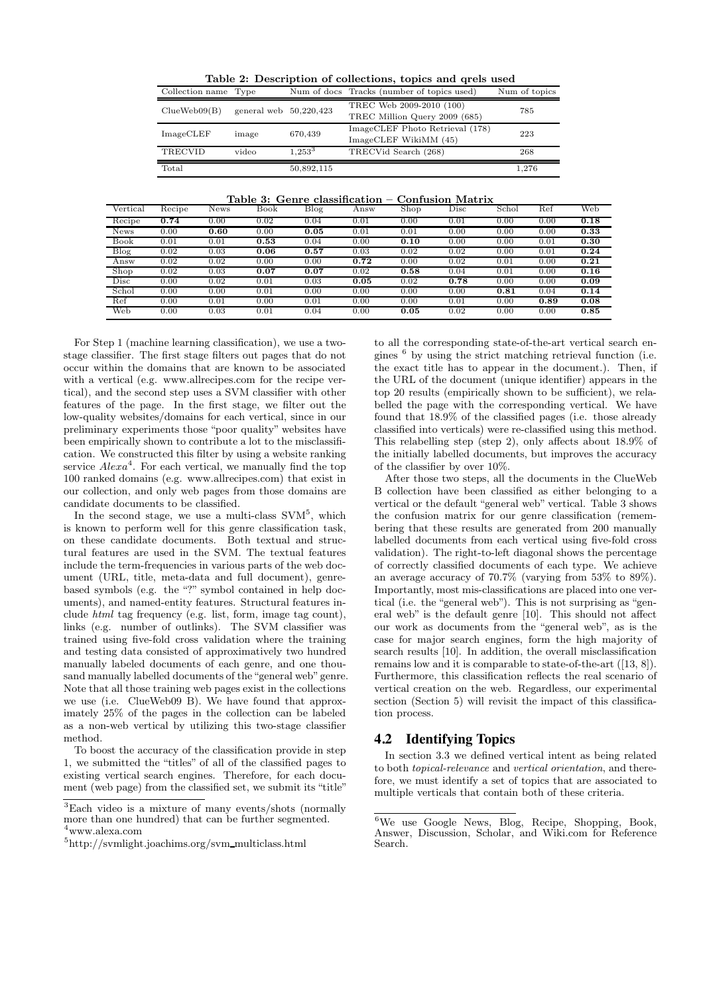Table 2: Description of collections, topics and qrels used

| Collection name Type |                          |             | Num of docs Tracks (number of topics used)                | Num of topics |
|----------------------|--------------------------|-------------|-----------------------------------------------------------|---------------|
| $C$ lueWeb $09(B)$   | general web $50,220,423$ |             | TREC Web 2009-2010 (100)<br>TREC Million Query 2009 (685) | 785           |
| ImageCLEF            | image                    | 670,439     | ImageCLEF Photo Retrieval (178)<br>ImageCLEF WikiMM (45)  | 223           |
| <b>TRECVID</b>       | video                    | $1.253^{3}$ | TRECVid Search (268)                                      | 268           |
| Total                |                          | 50,892,115  |                                                           | 1.276         |

|  | Table 3: Genre classification – Confusion Matrix |
|--|--------------------------------------------------|
|  |                                                  |

| $\it Vertical$ | Recipe | <b>News</b> | Book | Blog | Answ | Shop | Disc | Schol | Ref  | Web  |
|----------------|--------|-------------|------|------|------|------|------|-------|------|------|
| Recipe         | 0.74   | 0.00        | 0.02 | 0.04 | 0.01 | 0.00 | 0.01 | 0.00  | 0.00 | 0.18 |
| <b>News</b>    | 0.00   | 0.60        | 0.00 | 0.05 | 0.01 | 0.01 | 0.00 | 0.00  | 0.00 | 0.33 |
| Book           | 0.01   | 0.01        | 0.53 | 0.04 | 0.00 | 0.10 | 0.00 | 0.00  | 0.01 | 0.30 |
| Blog           | 0.02   | 0.03        | 0.06 | 0.57 | 0.03 | 0.02 | 0.02 | 0.00  | 0.01 | 0.24 |
| Answ           | 0.02   | 0.02        | 0.00 | 0.00 | 0.72 | 0.00 | 0.02 | 0.01  | 0.00 | 0.21 |
| Shop           | 0.02   | 0.03        | 0.07 | 0.07 | 0.02 | 0.58 | 0.04 | 0.01  | 0.00 | 0.16 |
| <b>Disc</b>    | 0.00   | 0.02        | 0.01 | 0.03 | 0.05 | 0.02 | 0.78 | 0.00  | 0.00 | 0.09 |
| Schol          | 0.00   | 0.00        | 0.01 | 0.00 | 0.00 | 0.00 | 0.00 | 0.81  | 0.04 | 0.14 |
| Ref            | 0.00   | 0.01        | 0.00 | 0.01 | 0.00 | 0.00 | 0.01 | 0.00  | 0.89 | 0.08 |
| Web            | 0.00   | 0.03        | 0.01 | 0.04 | 0.00 | 0.05 | 0.02 | 0.00  | 0.00 | 0.85 |
|                |        |             |      |      |      |      |      |       |      |      |

For Step 1 (machine learning classification), we use a twostage classifier. The first stage filters out pages that do not occur within the domains that are known to be associated with a vertical (e.g. www.allrecipes.com for the recipe vertical), and the second step uses a SVM classifier with other features of the page. In the first stage, we filter out the low-quality websites/domains for each vertical, since in our preliminary experiments those "poor quality" websites have been empirically shown to contribute a lot to the misclassification. We constructed this filter by using a website ranking service  $Alex^4$ . For each vertical, we manually find the top 100 ranked domains (e.g. www.allrecipes.com) that exist in our collection, and only web pages from those domains are candidate documents to be classified.

In the second stage, we use a multi-class  $\text{SVM}^5$ , which is known to perform well for this genre classification task, on these candidate documents. Both textual and structural features are used in the SVM. The textual features include the term-frequencies in various parts of the web document (URL, title, meta-data and full document), genrebased symbols (e.g. the "?" symbol contained in help documents), and named-entity features. Structural features include html tag frequency (e.g. list, form, image tag count), links (e.g. number of outlinks). The SVM classifier was trained using five-fold cross validation where the training and testing data consisted of approximatively two hundred manually labeled documents of each genre, and one thousand manually labelled documents of the "general web" genre. Note that all those training web pages exist in the collections we use (i.e. ClueWeb09 B). We have found that approximately 25% of the pages in the collection can be labeled as a non-web vertical by utilizing this two-stage classifier method.

To boost the accuracy of the classification provide in step 1, we submitted the "titles" of all of the classified pages to existing vertical search engines. Therefore, for each document (web page) from the classified set, we submit its "title"

to all the corresponding state-of-the-art vertical search engines  $6$  by using the strict matching retrieval function (i.e. the exact title has to appear in the document.). Then, if the URL of the document (unique identifier) appears in the top 20 results (empirically shown to be sufficient), we relabelled the page with the corresponding vertical. We have found that 18.9% of the classified pages (i.e. those already classified into verticals) were re-classified using this method. This relabelling step (step 2), only affects about 18.9% of the initially labelled documents, but improves the accuracy of the classifier by over 10%.

After those two steps, all the documents in the ClueWeb B collection have been classified as either belonging to a vertical or the default "general web" vertical. Table 3 shows the confusion matrix for our genre classification (remembering that these results are generated from 200 manually labelled documents from each vertical using five-fold cross validation). The right-to-left diagonal shows the percentage of correctly classified documents of each type. We achieve an average accuracy of 70.7% (varying from 53% to 89%). Importantly, most mis-classifications are placed into one vertical (i.e. the "general web"). This is not surprising as "general web" is the default genre [10]. This should not affect our work as documents from the "general web", as is the case for major search engines, form the high majority of search results [10]. In addition, the overall misclassification remains low and it is comparable to state-of-the-art ([13, 8]). Furthermore, this classification reflects the real scenario of vertical creation on the web. Regardless, our experimental section (Section 5) will revisit the impact of this classification process.

### **4.2 Identifying Topics**

In section 3.3 we defined vertical intent as being related to both topical-relevance and vertical orientation, and therefore, we must identify a set of topics that are associated to multiple verticals that contain both of these criteria.

<sup>&</sup>lt;sup>3</sup>Each video is a mixture of many events/shots (normally more than one hundred) that can be further segmented. <sup>4</sup>www.alexa.com

<sup>5</sup>http://svmlight.joachims.org/svm multiclass.html

<sup>6</sup>We use Google News, Blog, Recipe, Shopping, Book, Answer, Discussion, Scholar, and Wiki.com for Reference Search.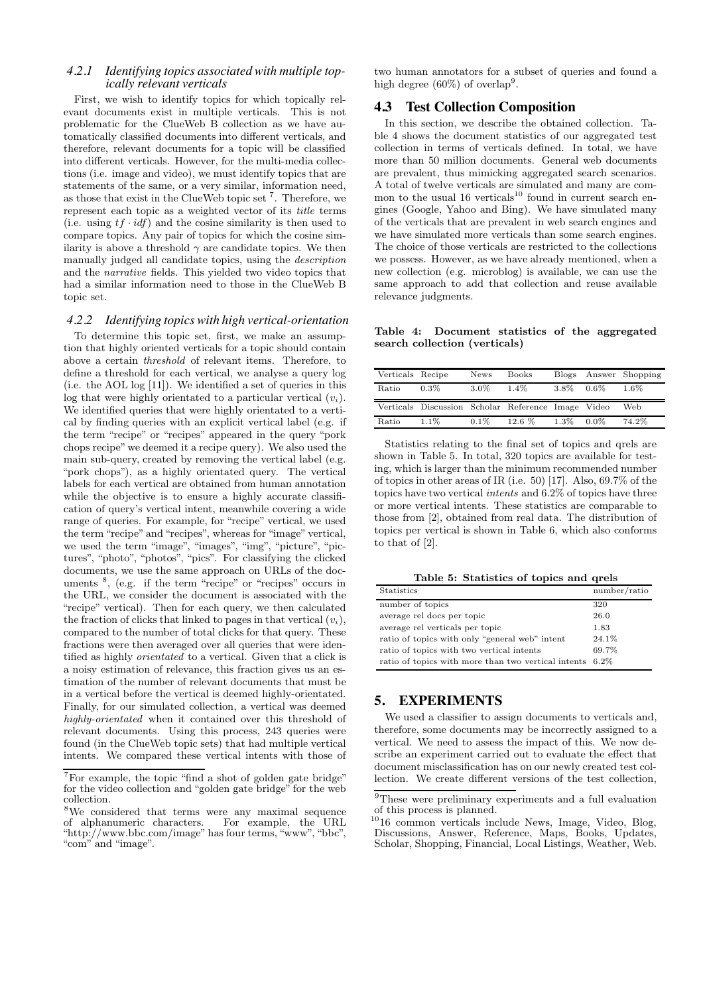### *4.2.1 Identifying topics associated with multiple topically relevant verticals*

First, we wish to identify topics for which topically relevant documents exist in multiple verticals. This is not problematic for the ClueWeb B collection as we have automatically classified documents into different verticals, and therefore, relevant documents for a topic will be classified into different verticals. However, for the multi-media collections (i.e. image and video), we must identify topics that are statements of the same, or a very similar, information need, as those that exist in the ClueWeb topic set  $^7$ . Therefore, we represent each topic as a weighted vector of its title terms (i.e. using  $tf \cdot idf$ ) and the cosine similarity is then used to compare topics. Any pair of topics for which the cosine similarity is above a threshold  $\gamma$  are candidate topics. We then manually judged all candidate topics, using the description and the narrative fields. This yielded two video topics that had a similar information need to those in the ClueWeb B topic set.

### *4.2.2 Identifying topics with high vertical-orientation*

To determine this topic set, first, we make an assumption that highly oriented verticals for a topic should contain above a certain threshold of relevant items. Therefore, to define a threshold for each vertical, we analyse a query log (i.e. the AOL log [11]). We identified a set of queries in this log that were highly orientated to a particular vertical  $(v_i)$ . We identified queries that were highly orientated to a vertical by finding queries with an explicit vertical label (e.g. if the term "recipe" or "recipes" appeared in the query "pork chops recipe" we deemed it a recipe query). We also used the main sub-query, created by removing the vertical label (e.g. "pork chops"), as a highly orientated query. The vertical labels for each vertical are obtained from human annotation while the objective is to ensure a highly accurate classification of query's vertical intent, meanwhile covering a wide range of queries. For example, for "recipe" vertical, we used the term "recipe" and "recipes", whereas for "image" vertical, we used the term "image", "images", "img", "picture", "pictures", "photo", "photos", "pics". For classifying the clicked documents, we use the same approach on URLs of the documents <sup>8</sup>, (e.g. if the term "recipe" or "recipes" occurs in the URL, we consider the document is associated with the "recipe" vertical). Then for each query, we then calculated the fraction of clicks that linked to pages in that vertical  $(v_i)$ , compared to the number of total clicks for that query. These fractions were then averaged over all queries that were identified as highly orientated to a vertical. Given that a click is a noisy estimation of relevance, this fraction gives us an estimation of the number of relevant documents that must be in a vertical before the vertical is deemed highly-orientated. Finally, for our simulated collection, a vertical was deemed highly-orientated when it contained over this threshold of relevant documents. Using this process, 243 queries were found (in the ClueWeb topic sets) that had multiple vertical intents. We compared these vertical intents with those of

two human annotators for a subset of queries and found a high degree  $(60\%)$  of overlap<sup>9</sup>.

### **4.3 Test Collection Composition**

In this section, we describe the obtained collection. Table 4 shows the document statistics of our aggregated test collection in terms of verticals defined. In total, we have more than 50 million documents. General web documents are prevalent, thus mimicking aggregated search scenarios. A total of twelve verticals are simulated and many are common to the usual 16 verticals<sup>10</sup> found in current search engines (Google, Yahoo and Bing). We have simulated many of the verticals that are prevalent in web search engines and we have simulated more verticals than some search engines. The choice of those verticals are restricted to the collections we possess. However, as we have already mentioned, when a new collection (e.g. microblog) is available, we can use the same approach to add that collection and reuse available relevance judgments.

Table 4: Document statistics of the aggregated search collection (verticals)

| Verticals Recipe |                                                    | <b>News</b> | <b>Books</b> |                 | Blogs Answer Shopping |
|------------------|----------------------------------------------------|-------------|--------------|-----------------|-----------------------|
| Ratio            | $0.3\%$                                            | $3.0\%$     | $1.4\%$      | $3.8\%$ $0.6\%$ | 1.6%                  |
|                  | Verticals Discussion Scholar Reference Image Video |             |              |                 | Web                   |
|                  |                                                    |             |              |                 |                       |

Statistics relating to the final set of topics and qrels are shown in Table 5. In total, 320 topics are available for testing, which is larger than the minimum recommended number of topics in other areas of IR (i.e. 50) [17]. Also, 69.7% of the topics have two vertical intents and 6.2% of topics have three or more vertical intents. These statistics are comparable to those from [2], obtained from real data. The distribution of topics per vertical is shown in Table 6, which also conforms to that of [2].

Table 5: Statistics of topics and qrels

| <b>Statistics</b>                                   | number/ratio |
|-----------------------------------------------------|--------------|
| number of topics                                    | 320          |
| average rel docs per topic                          | 26.0         |
| average rel verticals per topic                     | 1.83         |
| ratio of topics with only "general web" intent      | 24.1%        |
| ratio of topics with two vertical intents           | 69.7%        |
| ratio of topics with more than two vertical intents | $6.2\%$      |

# **5. EXPERIMENTS**

We used a classifier to assign documents to verticals and, therefore, some documents may be incorrectly assigned to a vertical. We need to assess the impact of this. We now describe an experiment carried out to evaluate the effect that document misclassification has on our newly created test collection. We create different versions of the test collection,

<sup>7</sup>For example, the topic "find a shot of golden gate bridge" for the video collection and "golden gate bridge" for the web collection.

<sup>8</sup>We considered that terms were any maximal sequence of alphanumeric characters. For example, the URL "http://www.bbc.com/image" has four terms, "www", "bbc", "com" and "image".

 $\sqrt[9]{\text{These}}$  were preliminary experiments and a full evaluation of this process is planned.

 $1016$  common verticals include News, Image, Video, Blog, Discussions, Answer, Reference, Maps, Books, Updates, Scholar, Shopping, Financial, Local Listings, Weather, Web.